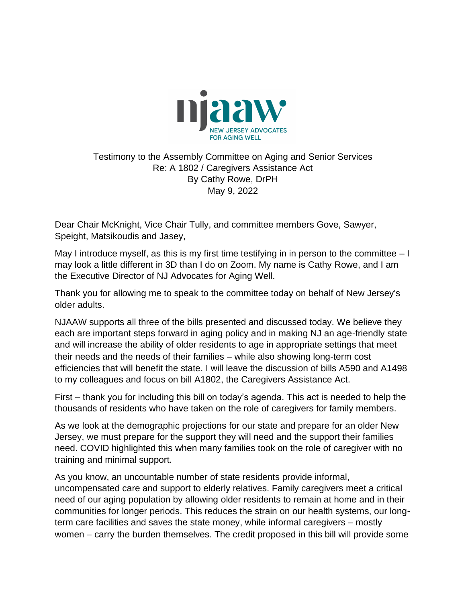

## Testimony to the Assembly Committee on Aging and Senior Services Re: A 1802 / Caregivers Assistance Act By Cathy Rowe, DrPH May 9, 2022

Dear Chair McKnight, Vice Chair Tully, and committee members Gove, Sawyer, Speight, Matsikoudis and Jasey,

May I introduce myself, as this is my first time testifying in in person to the committee  $-1$ may look a little different in 3D than I do on Zoom. My name is Cathy Rowe, and I am the Executive Director of NJ Advocates for Aging Well.

Thank you for allowing me to speak to the committee today on behalf of New Jersey's older adults.

NJAAW supports all three of the bills presented and discussed today. We believe they each are important steps forward in aging policy and in making NJ an age-friendly state and will increase the ability of older residents to age in appropriate settings that meet their needs and the needs of their families − while also showing long-term cost efficiencies that will benefit the state. I will leave the discussion of bills A590 and A1498 to my colleagues and focus on bill A1802, the Caregivers Assistance Act.

First – thank you for including this bill on today's agenda. This act is needed to help the thousands of residents who have taken on the role of caregivers for family members.

As we look at the demographic projections for our state and prepare for an older New Jersey, we must prepare for the support they will need and the support their families need. COVID highlighted this when many families took on the role of caregiver with no training and minimal support.

As you know, an uncountable number of state residents provide informal, uncompensated care and support to elderly relatives. Family caregivers meet a critical need of our aging population by allowing older residents to remain at home and in their communities for longer periods. This reduces the strain on our health systems, our longterm care facilities and saves the state money, while informal caregivers – mostly women – carry the burden themselves. The credit proposed in this bill will provide some